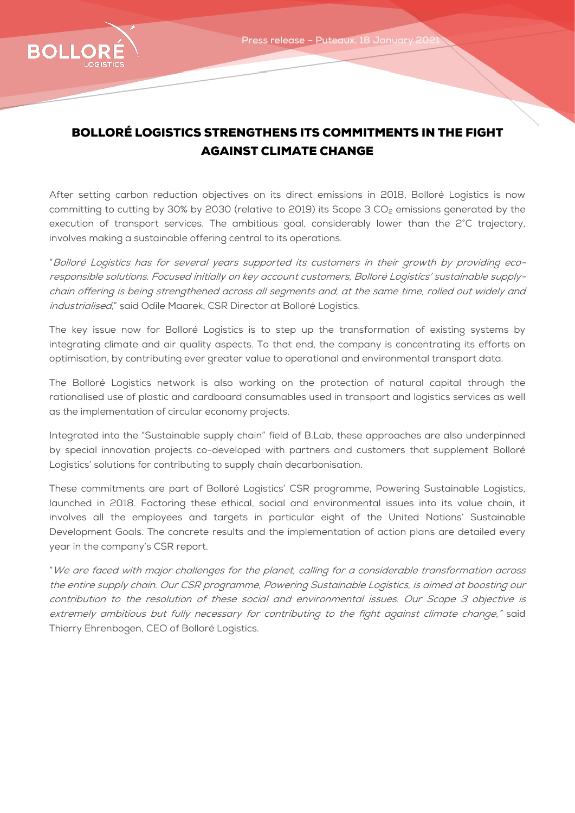

## BOLLORÉ LOGISTICS STRENGTHENS ITS COMMITMENTS IN THE FIGHT AGAINST CLIMATE CHANGE

After setting carbon reduction objectives on its direct emissions in 2018, Bolloré Logistics is now committing to cutting by 30% by 2030 (relative to 2019) its Scope 3 CO<sub>2</sub> emissions generated by the execution of transport services. The ambitious goal, considerably lower than the 2°C trajectory, involves making a sustainable offering central to its operations.

"Bolloré Logistics has for several years supported its customers in their growth by providing ecoresponsible solutions. Focused initially on key account customers, Bolloré Logistics' sustainable supplychain offering is being strengthened across all segments and, at the same time, rolled out widely and industrialised," said Odile Maarek, CSR Director at Bolloré Logistics.

The key issue now for Bolloré Logistics is to step up the transformation of existing systems by integrating climate and air quality aspects. To that end, the company is concentrating its efforts on optimisation, by contributing ever greater value to operational and environmental transport data.

The Bolloré Logistics network is also working on the protection of natural capital through the rationalised use of plastic and cardboard consumables used in transport and logistics services as well as the implementation of circular economy projects.

Integrated into the "Sustainable supply chain" field of B.Lab, these approaches are also underpinned by special innovation projects co-developed with partners and customers that supplement Bolloré Logistics' solutions for contributing to supply chain decarbonisation.

These commitments are part of Bolloré Logistics' CSR programme, Powering Sustainable Logistics, launched in 2018. Factoring these ethical, social and environmental issues into its value chain, it involves all the employees and targets in particular eight of the United Nations' Sustainable Development Goals. The concrete results and the implementation of action plans are detailed every year in the company's CSR report.

"We are faced with major challenges for the planet, calling for a considerable transformation across the entire supply chain. Our CSR programme, Powering Sustainable Logistics, is aimed at boosting our contribution to the resolution of these social and environmental issues. Our Scope 3 objective is extremely ambitious but fully necessary for contributing to the fight against climate change," said Thierry Ehrenbogen, CEO of Bolloré Logistics.